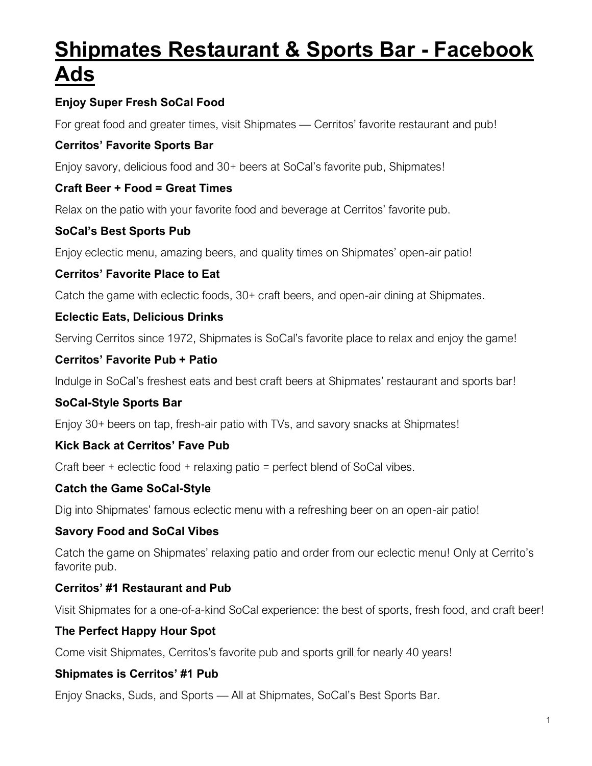# **Shipmates Restaurant & Sports Bar - Facebook Ads**

# **Enjoy Super Fresh SoCal Food**

For great food and greater times, visit Shipmates — Cerritos' favorite restaurant and pub!

#### **Cerritos' Favorite Sports Bar**

Enjoy savory, delicious food and 30+ beers at SoCal's favorite pub, Shipmates!

#### **Craft Beer + Food = Great Times**

Relax on the patio with your favorite food and beverage at Cerritos' favorite pub.

## **SoCal's Best Sports Pub**

Enjoy eclectic menu, amazing beers, and quality times on Shipmates' open-air patio!

#### **Cerritos' Favorite Place to Eat**

Catch the game with eclectic foods, 30+ craft beers, and open-air dining at Shipmates.

## **Eclectic Eats, Delicious Drinks**

Serving Cerritos since 1972, Shipmates is SoCal's favorite place to relax and enjoy the game!

#### **Cerritos' Favorite Pub + Patio**

Indulge in SoCal's freshest eats and best craft beers at Shipmates' restaurant and sports bar!

#### **SoCal-Style Sports Bar**

Enjoy 30+ beers on tap, fresh-air patio with TVs, and savory snacks at Shipmates!

#### **Kick Back at Cerritos' Fave Pub**

Craft beer + eclectic food + relaxing patio = perfect blend of SoCal vibes.

#### **Catch the Game SoCal-Style**

Dig into Shipmates' famous eclectic menu with a refreshing beer on an open-air patio!

#### **Savory Food and SoCal Vibes**

Catch the game on Shipmates' relaxing patio and order from our eclectic menu! Only at Cerrito's favorite pub.

#### **Cerritos' #1 Restaurant and Pub**

Visit Shipmates for a one-of-a-kind SoCal experience: the best of sports, fresh food, and craft beer!

#### **The Perfect Happy Hour Spot**

Come visit Shipmates, Cerritos's favorite pub and sports grill for nearly 40 years!

#### **Shipmates is Cerritos' #1 Pub**

Enjoy Snacks, Suds, and Sports — All at Shipmates, SoCal's Best Sports Bar.